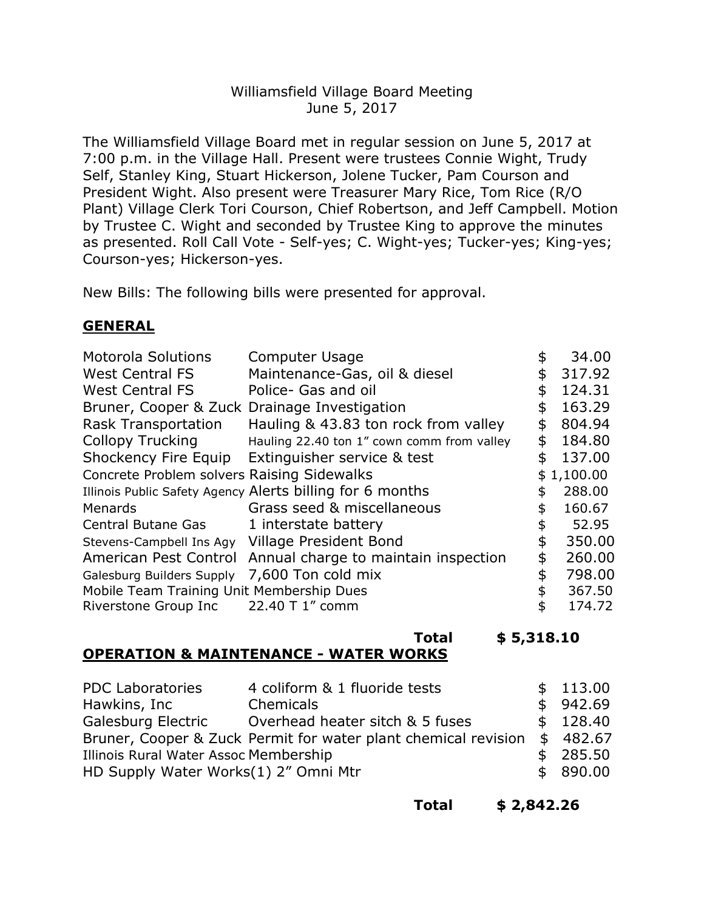## Williamsfield Village Board Meeting June 5, 2017

The Williamsfield Village Board met in regular session on June 5, 2017 at 7:00 p.m. in the Village Hall. Present were trustees Connie Wight, Trudy Self, Stanley King, Stuart Hickerson, Jolene Tucker, Pam Courson and President Wight. Also present were Treasurer Mary Rice, Tom Rice (R/O Plant) Village Clerk Tori Courson, Chief Robertson, and Jeff Campbell. Motion by Trustee C. Wight and seconded by Trustee King to approve the minutes as presented. Roll Call Vote - Self-yes; C. Wight-yes; Tucker-yes; King-yes; Courson-yes; Hickerson-yes.

New Bills: The following bills were presented for approval.

## **GENERAL**

| <b>Motorola Solutions</b>                    | <b>Computer Usage</b>                                     | \$ | 34.00      |
|----------------------------------------------|-----------------------------------------------------------|----|------------|
| <b>West Central FS</b>                       | Maintenance-Gas, oil & diesel                             | \$ | 317.92     |
| <b>West Central FS</b>                       | Police- Gas and oil                                       | \$ | 124.31     |
| Bruner, Cooper & Zuck Drainage Investigation |                                                           | \$ | 163.29     |
| <b>Rask Transportation</b>                   | Hauling & 43.83 ton rock from valley                      | \$ | 804.94     |
| <b>Collopy Trucking</b>                      | Hauling 22.40 ton 1" cown comm from valley                | \$ | 184.80     |
| Shockency Fire Equip                         | Extinguisher service & test                               | \$ | 137.00     |
| Concrete Problem solvers Raising Sidewalks   |                                                           |    | \$1,100.00 |
|                                              | Illinois Public Safety Agency Alerts billing for 6 months | \$ | 288.00     |
| Menards                                      | Grass seed & miscellaneous                                | \$ | 160.67     |
| <b>Central Butane Gas</b>                    | 1 interstate battery                                      | \$ | 52.95      |
| Stevens-Campbell Ins Agy                     | Village President Bond                                    | \$ | 350.00     |
| American Pest Control                        | Annual charge to maintain inspection                      | \$ | 260.00     |
| Galesburg Builders Supply                    | 7,600 Ton cold mix                                        | \$ | 798.00     |
| Mobile Team Training Unit Membership Dues    |                                                           |    | 367.50     |
| Riverstone Group Inc                         | 22.40 T 1" comm                                           | \$ | 174.72     |

#### **Total \$ 5,318.10 OPERATION & MAINTENANCE - WATER WORKS**

| <b>PDC Laboratories</b>               | 4 coliform & 1 fluoride tests                                  |  | \$113.00 |
|---------------------------------------|----------------------------------------------------------------|--|----------|
| Hawkins, Inc                          | Chemicals                                                      |  | \$942.69 |
| Galesburg Electric                    | Overhead heater sitch & 5 fuses                                |  | \$128.40 |
|                                       | Bruner, Cooper & Zuck Permit for water plant chemical revision |  | \$482.67 |
| Illinois Rural Water Assoc Membership |                                                                |  | \$285.50 |
| HD Supply Water Works(1) 2" Omni Mtr  |                                                                |  | \$890.00 |

**Total \$ 2,842.26**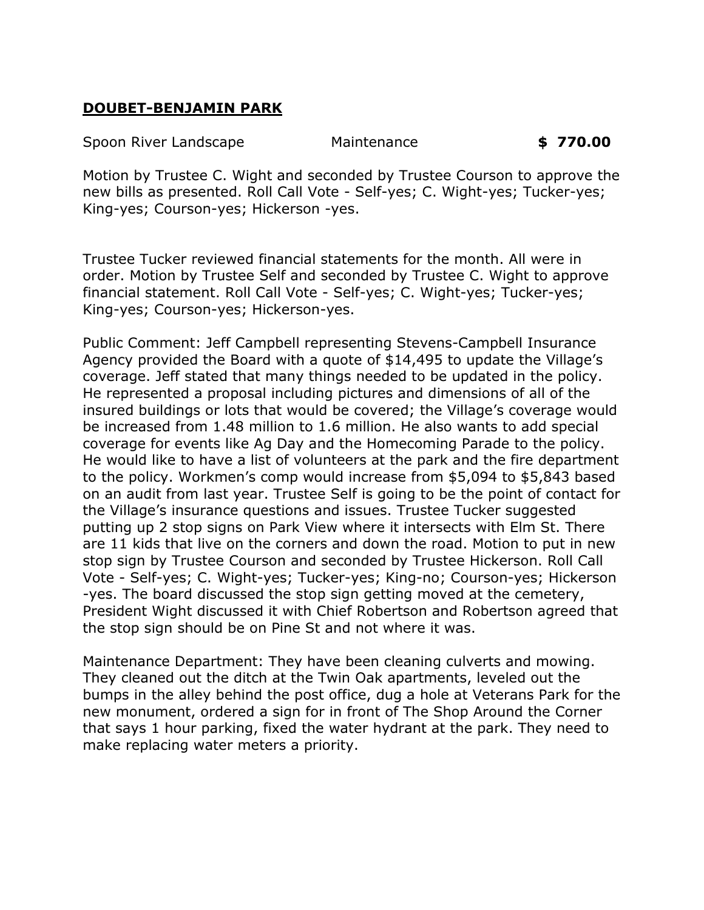# **DOUBET-BENJAMIN PARK**

Spoon River Landscape Maintenance **\$ 770.00**

Motion by Trustee C. Wight and seconded by Trustee Courson to approve the new bills as presented. Roll Call Vote - Self-yes; C. Wight-yes; Tucker-yes; King-yes; Courson-yes; Hickerson -yes.

Trustee Tucker reviewed financial statements for the month. All were in order. Motion by Trustee Self and seconded by Trustee C. Wight to approve financial statement. Roll Call Vote - Self-yes; C. Wight-yes; Tucker-yes; King-yes; Courson-yes; Hickerson-yes.

Public Comment: Jeff Campbell representing Stevens-Campbell Insurance Agency provided the Board with a quote of \$14,495 to update the Village's coverage. Jeff stated that many things needed to be updated in the policy. He represented a proposal including pictures and dimensions of all of the insured buildings or lots that would be covered; the Village's coverage would be increased from 1.48 million to 1.6 million. He also wants to add special coverage for events like Ag Day and the Homecoming Parade to the policy. He would like to have a list of volunteers at the park and the fire department to the policy. Workmen's comp would increase from \$5,094 to \$5,843 based on an audit from last year. Trustee Self is going to be the point of contact for the Village's insurance questions and issues. Trustee Tucker suggested putting up 2 stop signs on Park View where it intersects with Elm St. There are 11 kids that live on the corners and down the road. Motion to put in new stop sign by Trustee Courson and seconded by Trustee Hickerson. Roll Call Vote - Self-yes; C. Wight-yes; Tucker-yes; King-no; Courson-yes; Hickerson -yes. The board discussed the stop sign getting moved at the cemetery, President Wight discussed it with Chief Robertson and Robertson agreed that the stop sign should be on Pine St and not where it was.

Maintenance Department: They have been cleaning culverts and mowing. They cleaned out the ditch at the Twin Oak apartments, leveled out the bumps in the alley behind the post office, dug a hole at Veterans Park for the new monument, ordered a sign for in front of The Shop Around the Corner that says 1 hour parking, fixed the water hydrant at the park. They need to make replacing water meters a priority.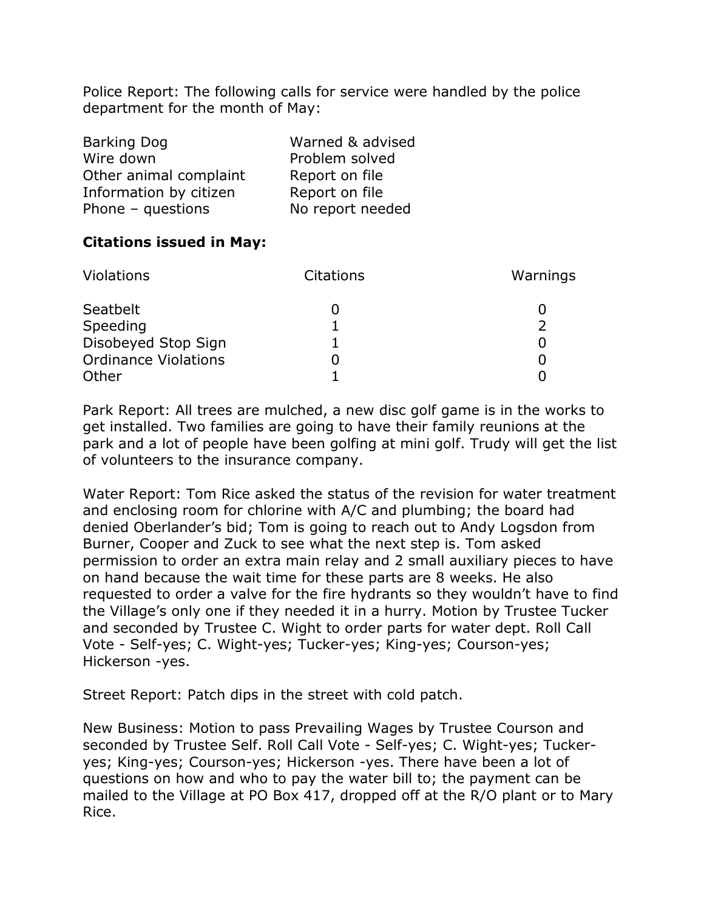Police Report: The following calls for service were handled by the police department for the month of May:

| <b>Barking Dog</b>     | Warned & advised |
|------------------------|------------------|
| Wire down              | Problem solved   |
| Other animal complaint | Report on file   |
| Information by citizen | Report on file   |
| Phone $-$ questions    | No report needed |

## **Citations issued in May:**

| Violations                  | <b>Citations</b> | Warnings |
|-----------------------------|------------------|----------|
| Seatbelt                    |                  |          |
| Speeding                    |                  |          |
| Disobeyed Stop Sign         |                  |          |
| <b>Ordinance Violations</b> |                  |          |
| Other                       |                  |          |

Park Report: All trees are mulched, a new disc golf game is in the works to get installed. Two families are going to have their family reunions at the park and a lot of people have been golfing at mini golf. Trudy will get the list of volunteers to the insurance company.

Water Report: Tom Rice asked the status of the revision for water treatment and enclosing room for chlorine with A/C and plumbing; the board had denied Oberlander's bid; Tom is going to reach out to Andy Logsdon from Burner, Cooper and Zuck to see what the next step is. Tom asked permission to order an extra main relay and 2 small auxiliary pieces to have on hand because the wait time for these parts are 8 weeks. He also requested to order a valve for the fire hydrants so they wouldn't have to find the Village's only one if they needed it in a hurry. Motion by Trustee Tucker and seconded by Trustee C. Wight to order parts for water dept. Roll Call Vote - Self-yes; C. Wight-yes; Tucker-yes; King-yes; Courson-yes; Hickerson -yes.

Street Report: Patch dips in the street with cold patch.

New Business: Motion to pass Prevailing Wages by Trustee Courson and seconded by Trustee Self. Roll Call Vote - Self-yes; C. Wight-yes; Tuckeryes; King-yes; Courson-yes; Hickerson -yes. There have been a lot of questions on how and who to pay the water bill to; the payment can be mailed to the Village at PO Box 417, dropped off at the R/O plant or to Mary Rice.